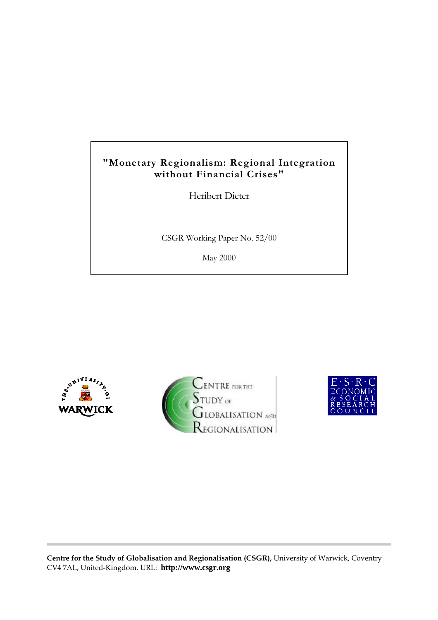# **"Monetary Regionalism: Regional Integration without Financial Crises"**

Heribert Dieter

CSGR Working Paper No. 52/00

May 2000







**Centre for the Study of Globalisation and Regionalisation (CSGR),** University of Warwick, Coventry CV4 7AL, United-Kingdom. URL: **http://www.csgr.org**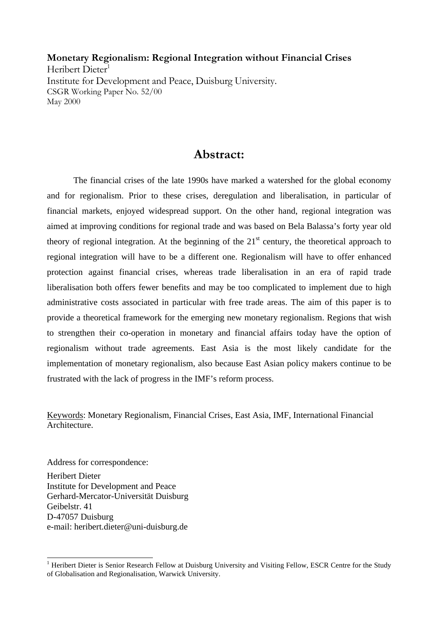**Monetary Regionalism: Regional Integration without Financial Crises** Heribert Dieter<sup>1</sup> Institute for Development and Peace, Duisburg University. CSGR Working Paper No. 52/00 May 2000

# **Abstract:**

The financial crises of the late 1990s have marked a watershed for the global economy and for regionalism. Prior to these crises, deregulation and liberalisation, in particular of financial markets, enjoyed widespread support. On the other hand, regional integration was aimed at improving conditions for regional trade and was based on Bela Balassa's forty year old theory of regional integration. At the beginning of the  $21<sup>st</sup>$  century, the theoretical approach to regional integration will have to be a different one. Regionalism will have to offer enhanced protection against financial crises, whereas trade liberalisation in an era of rapid trade liberalisation both offers fewer benefits and may be too complicated to implement due to high administrative costs associated in particular with free trade areas. The aim of this paper is to provide a theoretical framework for the emerging new monetary regionalism. Regions that wish to strengthen their co-operation in monetary and financial affairs today have the option of regionalism without trade agreements. East Asia is the most likely candidate for the implementation of monetary regionalism, also because East Asian policy makers continue to be frustrated with the lack of progress in the IMF's reform process.

Keywords: Monetary Regionalism, Financial Crises, East Asia, IMF, International Financial Architecture.

Address for correspondence:

Heribert Dieter Institute for Development and Peace Gerhard-Mercator-Universität Duisburg Geibelstr. 41 D-47057 Duisburg e-mail: heribert.dieter@uni-duisburg.de

<sup>&</sup>lt;sup>1</sup> Heribert Dieter is Senior Research Fellow at Duisburg University and Visiting Fellow, ESCR Centre for the Study of Globalisation and Regionalisation, Warwick University.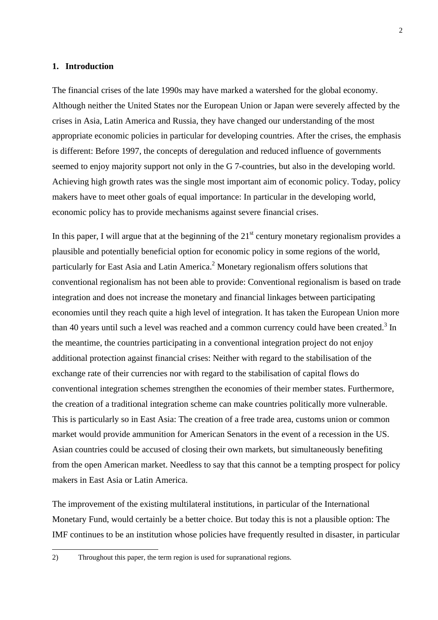#### **1. Introduction**

The financial crises of the late 1990s may have marked a watershed for the global economy. Although neither the United States nor the European Union or Japan were severely affected by the crises in Asia, Latin America and Russia, they have changed our understanding of the most appropriate economic policies in particular for developing countries. After the crises, the emphasis is different: Before 1997, the concepts of deregulation and reduced influence of governments seemed to enjoy majority support not only in the G 7-countries, but also in the developing world. Achieving high growth rates was the single most important aim of economic policy. Today, policy makers have to meet other goals of equal importance: In particular in the developing world, economic policy has to provide mechanisms against severe financial crises.

In this paper, I will argue that at the beginning of the  $21<sup>st</sup>$  century monetary regionalism provides a plausible and potentially beneficial option for economic policy in some regions of the world, particularly for East Asia and Latin America.<sup>2</sup> Monetary regionalism offers solutions that conventional regionalism has not been able to provide: Conventional regionalism is based on trade integration and does not increase the monetary and financial linkages between participating economies until they reach quite a high level of integration. It has taken the European Union more than 40 years until such a level was reached and a common currency could have been created. $^3$  In the meantime, the countries participating in a conventional integration project do not enjoy additional protection against financial crises: Neither with regard to the stabilisation of the exchange rate of their currencies nor with regard to the stabilisation of capital flows do conventional integration schemes strengthen the economies of their member states. Furthermore, the creation of a traditional integration scheme can make countries politically more vulnerable. This is particularly so in East Asia: The creation of a free trade area, customs union or common market would provide ammunition for American Senators in the event of a recession in the US. Asian countries could be accused of closing their own markets, but simultaneously benefiting from the open American market. Needless to say that this cannot be a tempting prospect for policy makers in East Asia or Latin America.

The improvement of the existing multilateral institutions, in particular of the International Monetary Fund, would certainly be a better choice. But today this is not a plausible option: The IMF continues to be an institution whose policies have frequently resulted in disaster, in particular

<sup>2)</sup> Throughout this paper, the term region is used for supranational regions.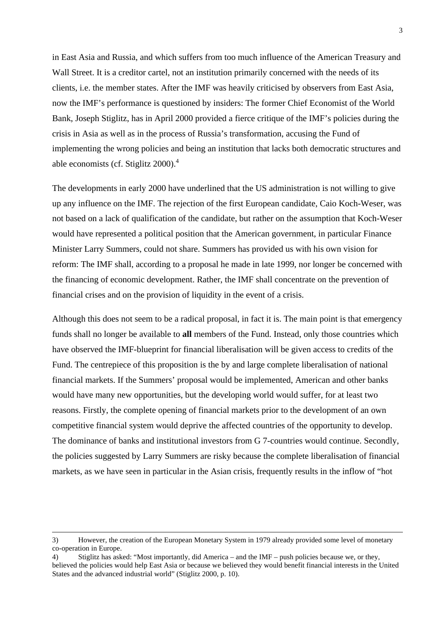in East Asia and Russia, and which suffers from too much influence of the American Treasury and Wall Street. It is a creditor cartel, not an institution primarily concerned with the needs of its clients, i.e. the member states. After the IMF was heavily criticised by observers from East Asia, now the IMF's performance is questioned by insiders: The former Chief Economist of the World Bank, Joseph Stiglitz, has in April 2000 provided a fierce critique of the IMF's policies during the crisis in Asia as well as in the process of Russia's transformation, accusing the Fund of implementing the wrong policies and being an institution that lacks both democratic structures and able economists (cf. Stiglitz 2000).<sup>4</sup>

The developments in early 2000 have underlined that the US administration is not willing to give up any influence on the IMF. The rejection of the first European candidate, Caio Koch-Weser, was not based on a lack of qualification of the candidate, but rather on the assumption that Koch-Weser would have represented a political position that the American government, in particular Finance Minister Larry Summers, could not share. Summers has provided us with his own vision for reform: The IMF shall, according to a proposal he made in late 1999, nor longer be concerned with the financing of economic development. Rather, the IMF shall concentrate on the prevention of financial crises and on the provision of liquidity in the event of a crisis.

Although this does not seem to be a radical proposal, in fact it is. The main point is that emergency funds shall no longer be available to **all** members of the Fund. Instead, only those countries which have observed the IMF-blueprint for financial liberalisation will be given access to credits of the Fund. The centrepiece of this proposition is the by and large complete liberalisation of national financial markets. If the Summers' proposal would be implemented, American and other banks would have many new opportunities, but the developing world would suffer, for at least two reasons. Firstly, the complete opening of financial markets prior to the development of an own competitive financial system would deprive the affected countries of the opportunity to develop. The dominance of banks and institutional investors from G 7-countries would continue. Secondly, the policies suggested by Larry Summers are risky because the complete liberalisation of financial markets, as we have seen in particular in the Asian crisis, frequently results in the inflow of "hot

<sup>3)</sup> However, the creation of the European Monetary System in 1979 already provided some level of monetary co-operation in Europe.

<sup>4)</sup> Stiglitz has asked: "Most importantly, did America – and the IMF – push policies because we, or they, believed the policies would help East Asia or because we believed they would benefit financial interests in the United States and the advanced industrial world" (Stiglitz 2000, p. 10).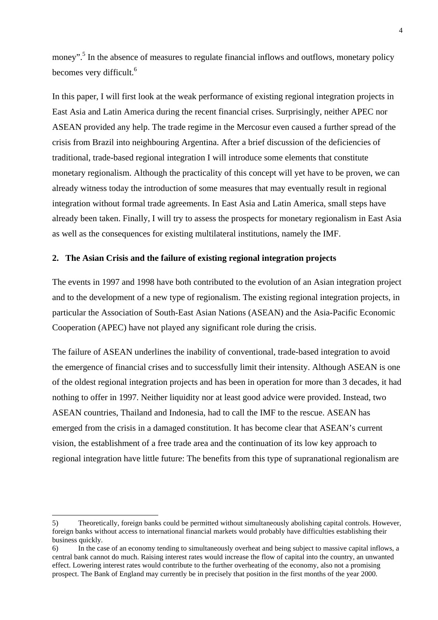money".<sup>5</sup> In the absence of measures to regulate financial inflows and outflows, monetary policy becomes very difficult.<sup>6</sup>

In this paper, I will first look at the weak performance of existing regional integration projects in East Asia and Latin America during the recent financial crises. Surprisingly, neither APEC nor ASEAN provided any help. The trade regime in the Mercosur even caused a further spread of the crisis from Brazil into neighbouring Argentina. After a brief discussion of the deficiencies of traditional, trade-based regional integration I will introduce some elements that constitute monetary regionalism. Although the practicality of this concept will yet have to be proven, we can already witness today the introduction of some measures that may eventually result in regional integration without formal trade agreements. In East Asia and Latin America, small steps have already been taken. Finally, I will try to assess the prospects for monetary regionalism in East Asia as well as the consequences for existing multilateral institutions, namely the IMF.

# **2. The Asian Crisis and the failure of existing regional integration projects**

The events in 1997 and 1998 have both contributed to the evolution of an Asian integration project and to the development of a new type of regionalism. The existing regional integration projects, in particular the Association of South-East Asian Nations (ASEAN) and the Asia-Pacific Economic Cooperation (APEC) have not played any significant role during the crisis.

The failure of ASEAN underlines the inability of conventional, trade-based integration to avoid the emergence of financial crises and to successfully limit their intensity. Although ASEAN is one of the oldest regional integration projects and has been in operation for more than 3 decades, it had nothing to offer in 1997. Neither liquidity nor at least good advice were provided. Instead, two ASEAN countries, Thailand and Indonesia, had to call the IMF to the rescue. ASEAN has emerged from the crisis in a damaged constitution. It has become clear that ASEAN's current vision, the establishment of a free trade area and the continuation of its low key approach to regional integration have little future: The benefits from this type of supranational regionalism are

<sup>5)</sup> Theoretically, foreign banks could be permitted without simultaneously abolishing capital controls. However, foreign banks without access to international financial markets would probably have difficulties establishing their business quickly.

<sup>6)</sup> In the case of an economy tending to simultaneously overheat and being subject to massive capital inflows, a central bank cannot do much. Raising interest rates would increase the flow of capital into the country, an unwanted effect. Lowering interest rates would contribute to the further overheating of the economy, also not a promising prospect. The Bank of England may currently be in precisely that position in the first months of the year 2000.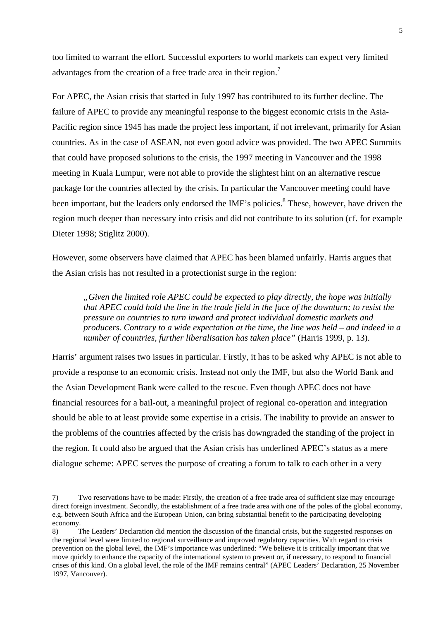too limited to warrant the effort. Successful exporters to world markets can expect very limited advantages from the creation of a free trade area in their region.<sup>7</sup>

For APEC, the Asian crisis that started in July 1997 has contributed to its further decline. The failure of APEC to provide any meaningful response to the biggest economic crisis in the Asia-Pacific region since 1945 has made the project less important, if not irrelevant, primarily for Asian countries. As in the case of ASEAN, not even good advice was provided. The two APEC Summits that could have proposed solutions to the crisis, the 1997 meeting in Vancouver and the 1998 meeting in Kuala Lumpur, were not able to provide the slightest hint on an alternative rescue package for the countries affected by the crisis. In particular the Vancouver meeting could have been important, but the leaders only endorsed the IMF's policies.<sup>8</sup> These, however, have driven the region much deeper than necessary into crisis and did not contribute to its solution (cf. for example Dieter 1998; Stiglitz 2000).

However, some observers have claimed that APEC has been blamed unfairly. Harris argues that the Asian crisis has not resulted in a protectionist surge in the region:

*"Given the limited role APEC could be expected to play directly, the hope was initially that APEC could hold the line in the trade field in the face of the downturn; to resist the pressure on countries to turn inward and protect individual domestic markets and producers. Contrary to a wide expectation at the time, the line was held – and indeed in a number of countries, further liberalisation has taken place"* (Harris 1999, p. 13).

Harris' argument raises two issues in particular. Firstly, it has to be asked why APEC is not able to provide a response to an economic crisis. Instead not only the IMF, but also the World Bank and the Asian Development Bank were called to the rescue. Even though APEC does not have financial resources for a bail-out, a meaningful project of regional co-operation and integration should be able to at least provide some expertise in a crisis. The inability to provide an answer to the problems of the countries affected by the crisis has downgraded the standing of the project in the region. It could also be argued that the Asian crisis has underlined APEC's status as a mere dialogue scheme: APEC serves the purpose of creating a forum to talk to each other in a very

<sup>7)</sup> Two reservations have to be made: Firstly, the creation of a free trade area of sufficient size may encourage direct foreign investment. Secondly, the establishment of a free trade area with one of the poles of the global economy, e.g. between South Africa and the European Union, can bring substantial benefit to the participating developing economy.

<sup>8)</sup> The Leaders' Declaration did mention the discussion of the financial crisis, but the suggested responses on the regional level were limited to regional surveillance and improved regulatory capacities. With regard to crisis prevention on the global level, the IMF's importance was underlined: "We believe it is critically important that we move quickly to enhance the capacity of the international system to prevent or, if necessary, to respond to financial crises of this kind. On a global level, the role of the IMF remains central" (APEC Leaders' Declaration, 25 November 1997, Vancouver).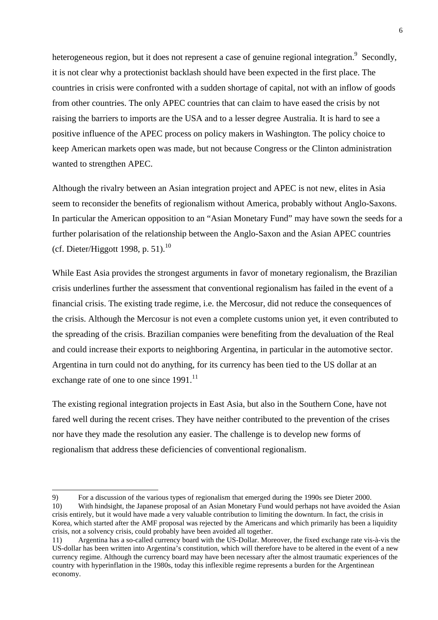heterogeneous region, but it does not represent a case of genuine regional integration.<sup>9</sup> Secondly, it is not clear why a protectionist backlash should have been expected in the first place. The countries in crisis were confronted with a sudden shortage of capital, not with an inflow of goods from other countries. The only APEC countries that can claim to have eased the crisis by not raising the barriers to imports are the USA and to a lesser degree Australia. It is hard to see a positive influence of the APEC process on policy makers in Washington. The policy choice to keep American markets open was made, but not because Congress or the Clinton administration wanted to strengthen APEC.

Although the rivalry between an Asian integration project and APEC is not new, elites in Asia seem to reconsider the benefits of regionalism without America, probably without Anglo-Saxons. In particular the American opposition to an "Asian Monetary Fund" may have sown the seeds for a further polarisation of the relationship between the Anglo-Saxon and the Asian APEC countries (cf. Dieter/Higgott 1998, p. 51). $^{10}$ 

While East Asia provides the strongest arguments in favor of monetary regionalism, the Brazilian crisis underlines further the assessment that conventional regionalism has failed in the event of a financial crisis. The existing trade regime, i.e. the Mercosur, did not reduce the consequences of the crisis. Although the Mercosur is not even a complete customs union yet, it even contributed to the spreading of the crisis. Brazilian companies were benefiting from the devaluation of the Real and could increase their exports to neighboring Argentina, in particular in the automotive sector. Argentina in turn could not do anything, for its currency has been tied to the US dollar at an exchange rate of one to one since 1991.<sup>11</sup>

The existing regional integration projects in East Asia, but also in the Southern Cone, have not fared well during the recent crises. They have neither contributed to the prevention of the crises nor have they made the resolution any easier. The challenge is to develop new forms of regionalism that address these deficiencies of conventional regionalism.

<sup>9)</sup> For a discussion of the various types of regionalism that emerged during the 1990s see Dieter 2000.

<sup>10)</sup> With hindsight, the Japanese proposal of an Asian Monetary Fund would perhaps not have avoided the Asian crisis entirely, but it would have made a very valuable contribution to limiting the downturn. In fact, the crisis in Korea, which started after the AMF proposal was rejected by the Americans and which primarily has been a liquidity crisis, not a solvency crisis, could probably have been avoided all together.

<sup>11)</sup> Argentina has a so-called currency board with the US-Dollar. Moreover, the fixed exchange rate vis-à-vis the US-dollar has been written into Argentina's constitution, which will therefore have to be altered in the event of a new currency regime. Although the currency board may have been necessary after the almost traumatic experiences of the country with hyperinflation in the 1980s, today this inflexible regime represents a burden for the Argentinean economy.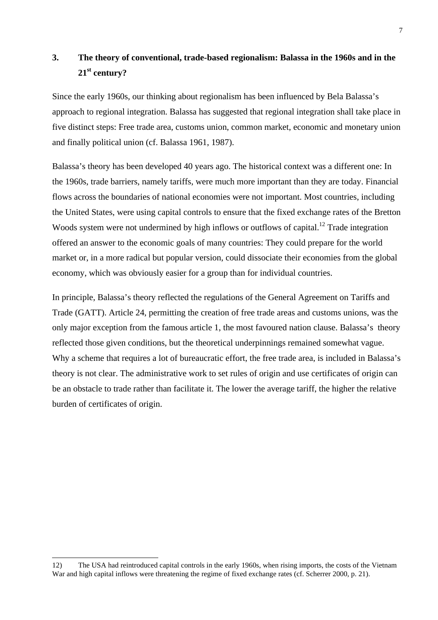# **3. The theory of conventional, trade-based regionalism: Balassa in the 1960s and in the 21st century?**

Since the early 1960s, our thinking about regionalism has been influenced by Bela Balassa's approach to regional integration. Balassa has suggested that regional integration shall take place in five distinct steps: Free trade area, customs union, common market, economic and monetary union and finally political union (cf. Balassa 1961, 1987).

Balassa's theory has been developed 40 years ago. The historical context was a different one: In the 1960s, trade barriers, namely tariffs, were much more important than they are today. Financial flows across the boundaries of national economies were not important. Most countries, including the United States, were using capital controls to ensure that the fixed exchange rates of the Bretton Woods system were not undermined by high inflows or outflows of capital.<sup>12</sup> Trade integration offered an answer to the economic goals of many countries: They could prepare for the world market or, in a more radical but popular version, could dissociate their economies from the global economy, which was obviously easier for a group than for individual countries.

In principle, Balassa's theory reflected the regulations of the General Agreement on Tariffs and Trade (GATT). Article 24, permitting the creation of free trade areas and customs unions, was the only major exception from the famous article 1, the most favoured nation clause. Balassa's theory reflected those given conditions, but the theoretical underpinnings remained somewhat vague. Why a scheme that requires a lot of bureaucratic effort, the free trade area, is included in Balassa's theory is not clear. The administrative work to set rules of origin and use certificates of origin can be an obstacle to trade rather than facilitate it. The lower the average tariff, the higher the relative burden of certificates of origin.

<sup>12)</sup> The USA had reintroduced capital controls in the early 1960s, when rising imports, the costs of the Vietnam War and high capital inflows were threatening the regime of fixed exchange rates (cf. Scherrer 2000, p. 21).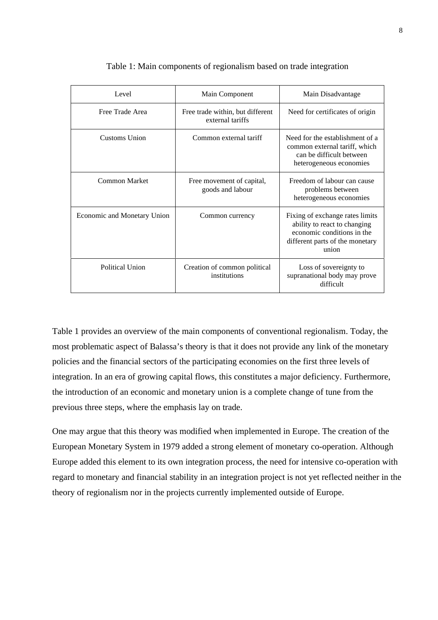| Level                       | Main Component                                       | Main Disadvantage                                                                                                                         |
|-----------------------------|------------------------------------------------------|-------------------------------------------------------------------------------------------------------------------------------------------|
| Free Trade Area             | Free trade within, but different<br>external tariffs | Need for certificates of origin                                                                                                           |
| <b>Customs Union</b>        | Common external tariff                               | Need for the establishment of a<br>common external tariff, which<br>can be difficult between<br>heterogeneous economies                   |
| Common Market               | Free movement of capital,<br>goods and labour        | Freedom of labour can cause<br>problems between<br>heterogeneous economies                                                                |
| Economic and Monetary Union | Common currency                                      | Fixing of exchange rates limits<br>ability to react to changing<br>economic conditions in the<br>different parts of the monetary<br>union |
| <b>Political Union</b>      | Creation of common political<br>institutions         | Loss of sovereignty to<br>supranational body may prove<br>difficult                                                                       |

### Table 1: Main components of regionalism based on trade integration

Table 1 provides an overview of the main components of conventional regionalism. Today, the most problematic aspect of Balassa's theory is that it does not provide any link of the monetary policies and the financial sectors of the participating economies on the first three levels of integration. In an era of growing capital flows, this constitutes a major deficiency. Furthermore, the introduction of an economic and monetary union is a complete change of tune from the previous three steps, where the emphasis lay on trade.

One may argue that this theory was modified when implemented in Europe. The creation of the European Monetary System in 1979 added a strong element of monetary co-operation. Although Europe added this element to its own integration process, the need for intensive co-operation with regard to monetary and financial stability in an integration project is not yet reflected neither in the theory of regionalism nor in the projects currently implemented outside of Europe.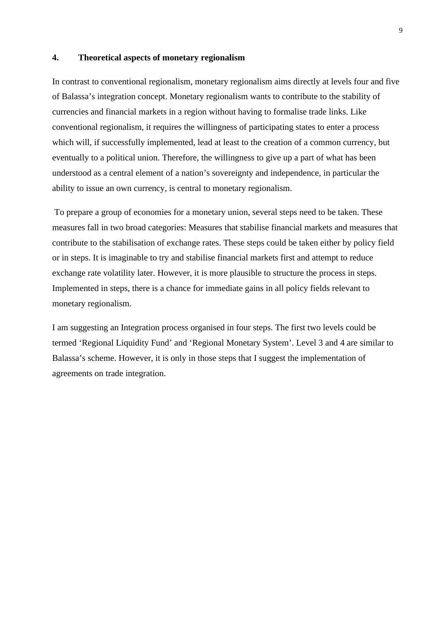#### **4. Theoretical aspects of monetary regionalism**

In contrast to conventional regionalism, monetary regionalism aims directly at levels four and five of Balassa's integration concept. Monetary regionalism wants to contribute to the stability of currencies and financial markets in a region without having to formalise trade links. Like conventional regionalism, it requires the willingness of participating states to enter a process which will, if successfully implemented, lead at least to the creation of a common currency, but eventually to a political union. Therefore, the willingness to give up a part of what has been understood as a central element of a nation's sovereignty and independence, in particular the ability to issue an own currency, is central to monetary regionalism.

 To prepare a group of economies for a monetary union, several steps need to be taken. These measures fall in two broad categories: Measures that stabilise financial markets and measures that contribute to the stabilisation of exchange rates. These steps could be taken either by policy field or in steps. It is imaginable to try and stabilise financial markets first and attempt to reduce exchange rate volatility later. However, it is more plausible to structure the process in steps. Implemented in steps, there is a chance for immediate gains in all policy fields relevant to monetary regionalism.

I am suggesting an Integration process organised in four steps. The first two levels could be termed 'Regional Liquidity Fund' and 'Regional Monetary System'. Level 3 and 4 are similar to Balassa's scheme. However, it is only in those steps that I suggest the implementation of agreements on trade integration.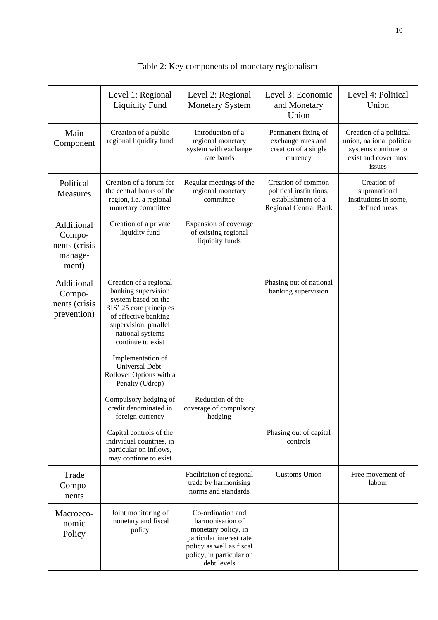|                                                           | Level 1: Regional<br><b>Liquidity Fund</b>                                                                                                                                                | Level 2: Regional<br><b>Monetary System</b>                                                                                                                     | Level 3: Economic<br>and Monetary<br>Union                                                          | Level 4: Political<br>Union                                                                                   |
|-----------------------------------------------------------|-------------------------------------------------------------------------------------------------------------------------------------------------------------------------------------------|-----------------------------------------------------------------------------------------------------------------------------------------------------------------|-----------------------------------------------------------------------------------------------------|---------------------------------------------------------------------------------------------------------------|
| Main<br>Component                                         | Creation of a public<br>regional liquidity fund                                                                                                                                           | Introduction of a<br>regional monetary<br>system with exchange<br>rate bands                                                                                    | Permanent fixing of<br>exchange rates and<br>creation of a single<br>currency                       | Creation of a political<br>union, national political<br>systems continue to<br>exist and cover most<br>issues |
| Political<br><b>Measures</b>                              | Creation of a forum for<br>the central banks of the<br>region, i.e. a regional<br>monetary committee                                                                                      | Regular meetings of the<br>regional monetary<br>committee                                                                                                       | Creation of common<br>political institutions,<br>establishment of a<br><b>Regional Central Bank</b> | Creation of<br>supranational<br>institutions in some,<br>defined areas                                        |
| Additional<br>Compo-<br>nents (crisis<br>manage-<br>ment) | Creation of a private<br>liquidity fund                                                                                                                                                   | Expansion of coverage<br>of existing regional<br>liquidity funds                                                                                                |                                                                                                     |                                                                                                               |
| Additional<br>Compo-<br>nents (crisis<br>prevention)      | Creation of a regional<br>banking supervision<br>system based on the<br>BIS' 25 core principles<br>of effective banking<br>supervision, parallel<br>national systems<br>continue to exist |                                                                                                                                                                 | Phasing out of national<br>banking supervision                                                      |                                                                                                               |
|                                                           | Implementation of<br><b>Universal Debt-</b><br>Rollover Options with a<br>Penalty (Udrop)                                                                                                 |                                                                                                                                                                 |                                                                                                     |                                                                                                               |
|                                                           | Compulsory hedging of<br>credit denominated in<br>foreign currency                                                                                                                        | Reduction of the<br>coverage of compulsory<br>hedging                                                                                                           |                                                                                                     |                                                                                                               |
|                                                           | Capital controls of the<br>individual countries, in<br>particular on inflows,<br>may continue to exist                                                                                    |                                                                                                                                                                 | Phasing out of capital<br>controls                                                                  |                                                                                                               |
| Trade<br>Compo-<br>nents                                  |                                                                                                                                                                                           | Facilitation of regional<br>trade by harmonising<br>norms and standards                                                                                         | <b>Customs Union</b>                                                                                | Free movement of<br>labour                                                                                    |
| Macroeco-<br>nomic<br>Policy                              | Joint monitoring of<br>monetary and fiscal<br>policy                                                                                                                                      | Co-ordination and<br>harmonisation of<br>monetary policy, in<br>particular interest rate<br>policy as well as fiscal<br>policy, in particular on<br>debt levels |                                                                                                     |                                                                                                               |

Table 2: Key components of monetary regionalism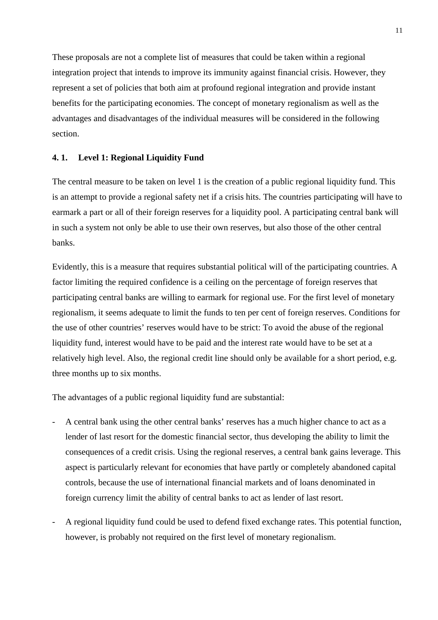These proposals are not a complete list of measures that could be taken within a regional integration project that intends to improve its immunity against financial crisis. However, they represent a set of policies that both aim at profound regional integration and provide instant benefits for the participating economies. The concept of monetary regionalism as well as the advantages and disadvantages of the individual measures will be considered in the following section.

# **4. 1. Level 1: Regional Liquidity Fund**

The central measure to be taken on level 1 is the creation of a public regional liquidity fund. This is an attempt to provide a regional safety net if a crisis hits. The countries participating will have to earmark a part or all of their foreign reserves for a liquidity pool. A participating central bank will in such a system not only be able to use their own reserves, but also those of the other central banks.

Evidently, this is a measure that requires substantial political will of the participating countries. A factor limiting the required confidence is a ceiling on the percentage of foreign reserves that participating central banks are willing to earmark for regional use. For the first level of monetary regionalism, it seems adequate to limit the funds to ten per cent of foreign reserves. Conditions for the use of other countries' reserves would have to be strict: To avoid the abuse of the regional liquidity fund, interest would have to be paid and the interest rate would have to be set at a relatively high level. Also, the regional credit line should only be available for a short period, e.g. three months up to six months.

The advantages of a public regional liquidity fund are substantial:

- A central bank using the other central banks' reserves has a much higher chance to act as a lender of last resort for the domestic financial sector, thus developing the ability to limit the consequences of a credit crisis. Using the regional reserves, a central bank gains leverage. This aspect is particularly relevant for economies that have partly or completely abandoned capital controls, because the use of international financial markets and of loans denominated in foreign currency limit the ability of central banks to act as lender of last resort.
- A regional liquidity fund could be used to defend fixed exchange rates. This potential function, however, is probably not required on the first level of monetary regionalism.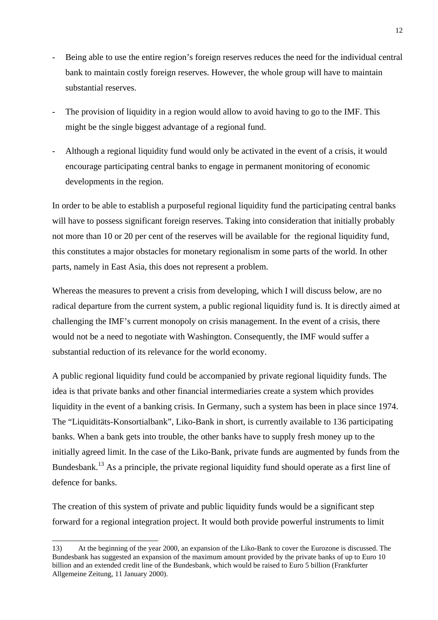- Being able to use the entire region's foreign reserves reduces the need for the individual central bank to maintain costly foreign reserves. However, the whole group will have to maintain substantial reserves.
- The provision of liquidity in a region would allow to avoid having to go to the IMF. This might be the single biggest advantage of a regional fund.
- Although a regional liquidity fund would only be activated in the event of a crisis, it would encourage participating central banks to engage in permanent monitoring of economic developments in the region.

In order to be able to establish a purposeful regional liquidity fund the participating central banks will have to possess significant foreign reserves. Taking into consideration that initially probably not more than 10 or 20 per cent of the reserves will be available for the regional liquidity fund, this constitutes a major obstacles for monetary regionalism in some parts of the world. In other parts, namely in East Asia, this does not represent a problem.

Whereas the measures to prevent a crisis from developing, which I will discuss below, are no radical departure from the current system, a public regional liquidity fund is. It is directly aimed at challenging the IMF's current monopoly on crisis management. In the event of a crisis, there would not be a need to negotiate with Washington. Consequently, the IMF would suffer a substantial reduction of its relevance for the world economy.

A public regional liquidity fund could be accompanied by private regional liquidity funds. The idea is that private banks and other financial intermediaries create a system which provides liquidity in the event of a banking crisis. In Germany, such a system has been in place since 1974. The "Liquiditäts-Konsortialbank", Liko-Bank in short, is currently available to 136 participating banks. When a bank gets into trouble, the other banks have to supply fresh money up to the initially agreed limit. In the case of the Liko-Bank, private funds are augmented by funds from the Bundesbank.<sup>13</sup> As a principle, the private regional liquidity fund should operate as a first line of defence for banks.

The creation of this system of private and public liquidity funds would be a significant step forward for a regional integration project. It would both provide powerful instruments to limit

 $\overline{a}$ 13) At the beginning of the year 2000, an expansion of the Liko-Bank to cover the Eurozone is discussed. The Bundesbank has suggested an expansion of the maximum amount provided by the private banks of up to Euro 10 billion and an extended credit line of the Bundesbank, which would be raised to Euro 5 billion (Frankfurter Allgemeine Zeitung, 11 January 2000).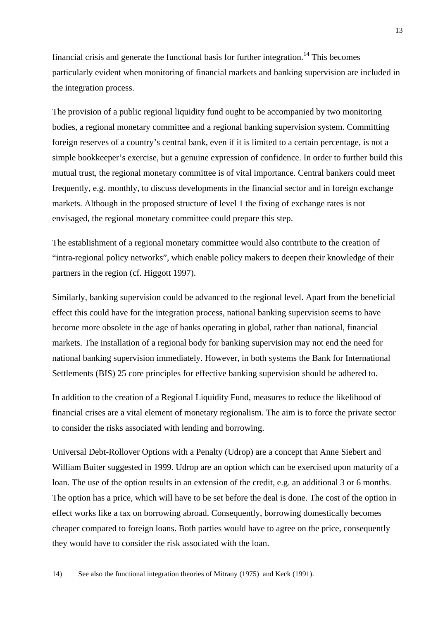financial crisis and generate the functional basis for further integration.<sup>14</sup> This becomes particularly evident when monitoring of financial markets and banking supervision are included in the integration process.

The provision of a public regional liquidity fund ought to be accompanied by two monitoring bodies, a regional monetary committee and a regional banking supervision system. Committing foreign reserves of a country's central bank, even if it is limited to a certain percentage, is not a simple bookkeeper's exercise, but a genuine expression of confidence. In order to further build this mutual trust, the regional monetary committee is of vital importance. Central bankers could meet frequently, e.g. monthly, to discuss developments in the financial sector and in foreign exchange markets. Although in the proposed structure of level 1 the fixing of exchange rates is not envisaged, the regional monetary committee could prepare this step.

The establishment of a regional monetary committee would also contribute to the creation of "intra-regional policy networks", which enable policy makers to deepen their knowledge of their partners in the region (cf. Higgott 1997).

Similarly, banking supervision could be advanced to the regional level. Apart from the beneficial effect this could have for the integration process, national banking supervision seems to have become more obsolete in the age of banks operating in global, rather than national, financial markets. The installation of a regional body for banking supervision may not end the need for national banking supervision immediately. However, in both systems the Bank for International Settlements (BIS) 25 core principles for effective banking supervision should be adhered to.

In addition to the creation of a Regional Liquidity Fund, measures to reduce the likelihood of financial crises are a vital element of monetary regionalism. The aim is to force the private sector to consider the risks associated with lending and borrowing.

Universal Debt-Rollover Options with a Penalty (Udrop) are a concept that Anne Siebert and William Buiter suggested in 1999. Udrop are an option which can be exercised upon maturity of a loan. The use of the option results in an extension of the credit, e.g. an additional 3 or 6 months. The option has a price, which will have to be set before the deal is done. The cost of the option in effect works like a tax on borrowing abroad. Consequently, borrowing domestically becomes cheaper compared to foreign loans. Both parties would have to agree on the price, consequently they would have to consider the risk associated with the loan.

<sup>14)</sup> See also the functional integration theories of Mitrany (1975) and Keck (1991).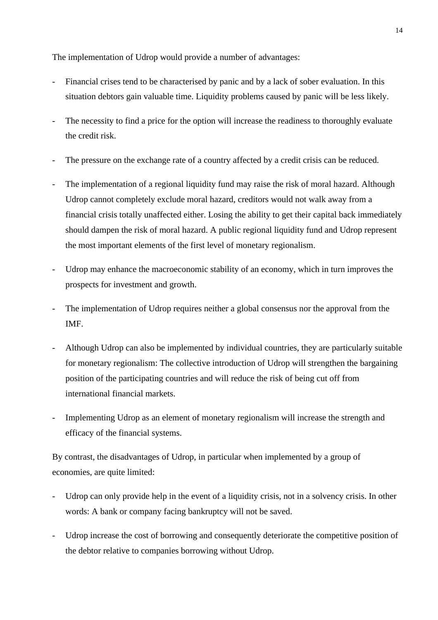The implementation of Udrop would provide a number of advantages:

- Financial crises tend to be characterised by panic and by a lack of sober evaluation. In this situation debtors gain valuable time. Liquidity problems caused by panic will be less likely.
- The necessity to find a price for the option will increase the readiness to thoroughly evaluate the credit risk.
- The pressure on the exchange rate of a country affected by a credit crisis can be reduced.
- The implementation of a regional liquidity fund may raise the risk of moral hazard. Although Udrop cannot completely exclude moral hazard, creditors would not walk away from a financial crisis totally unaffected either. Losing the ability to get their capital back immediately should dampen the risk of moral hazard. A public regional liquidity fund and Udrop represent the most important elements of the first level of monetary regionalism.
- Udrop may enhance the macroeconomic stability of an economy, which in turn improves the prospects for investment and growth.
- The implementation of Udrop requires neither a global consensus nor the approval from the IMF.
- Although Udrop can also be implemented by individual countries, they are particularly suitable for monetary regionalism: The collective introduction of Udrop will strengthen the bargaining position of the participating countries and will reduce the risk of being cut off from international financial markets.
- Implementing Udrop as an element of monetary regionalism will increase the strength and efficacy of the financial systems.

By contrast, the disadvantages of Udrop, in particular when implemented by a group of economies, are quite limited:

- Udrop can only provide help in the event of a liquidity crisis, not in a solvency crisis. In other words: A bank or company facing bankruptcy will not be saved.
- Udrop increase the cost of borrowing and consequently deteriorate the competitive position of the debtor relative to companies borrowing without Udrop.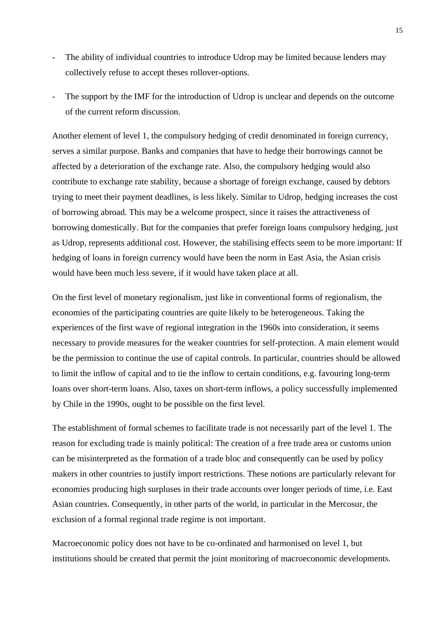- The ability of individual countries to introduce Udrop may be limited because lenders may collectively refuse to accept theses rollover-options.
- The support by the IMF for the introduction of Udrop is unclear and depends on the outcome of the current reform discussion.

Another element of level 1, the compulsory hedging of credit denominated in foreign currency, serves a similar purpose. Banks and companies that have to hedge their borrowings cannot be affected by a deterioration of the exchange rate. Also, the compulsory hedging would also contribute to exchange rate stability, because a shortage of foreign exchange, caused by debtors trying to meet their payment deadlines, is less likely. Similar to Udrop, hedging increases the cost of borrowing abroad. This may be a welcome prospect, since it raises the attractiveness of borrowing domestically. But for the companies that prefer foreign loans compulsory hedging, just as Udrop, represents additional cost. However, the stabilising effects seem to be more important: If hedging of loans in foreign currency would have been the norm in East Asia, the Asian crisis would have been much less severe, if it would have taken place at all.

On the first level of monetary regionalism, just like in conventional forms of regionalism, the economies of the participating countries are quite likely to be heterogeneous. Taking the experiences of the first wave of regional integration in the 1960s into consideration, it seems necessary to provide measures for the weaker countries for self-protection. A main element would be the permission to continue the use of capital controls. In particular, countries should be allowed to limit the inflow of capital and to tie the inflow to certain conditions, e.g. favouring long-term loans over short-term loans. Also, taxes on short-term inflows, a policy successfully implemented by Chile in the 1990s, ought to be possible on the first level.

The establishment of formal schemes to facilitate trade is not necessarily part of the level 1. The reason for excluding trade is mainly political: The creation of a free trade area or customs union can be misinterpreted as the formation of a trade bloc and consequently can be used by policy makers in other countries to justify import restrictions. These notions are particularly relevant for economies producing high surpluses in their trade accounts over longer periods of time, i.e. East Asian countries. Consequently, in other parts of the world, in particular in the Mercosur, the exclusion of a formal regional trade regime is not important.

Macroeconomic policy does not have to be co-ordinated and harmonised on level 1, but institutions should be created that permit the joint monitoring of macroeconomic developments.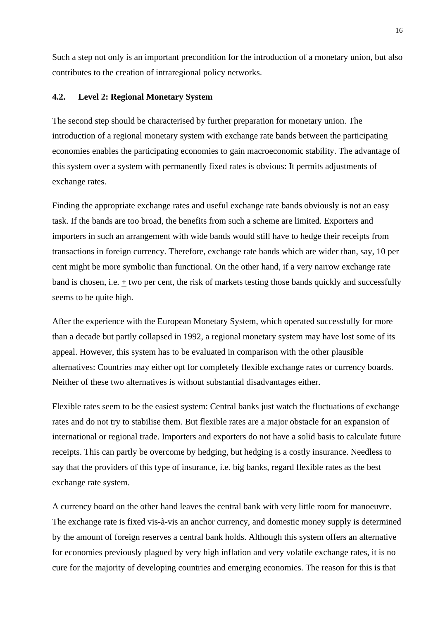Such a step not only is an important precondition for the introduction of a monetary union, but also contributes to the creation of intraregional policy networks.

#### **4.2. Level 2: Regional Monetary System**

The second step should be characterised by further preparation for monetary union. The introduction of a regional monetary system with exchange rate bands between the participating economies enables the participating economies to gain macroeconomic stability. The advantage of this system over a system with permanently fixed rates is obvious: It permits adjustments of exchange rates.

Finding the appropriate exchange rates and useful exchange rate bands obviously is not an easy task. If the bands are too broad, the benefits from such a scheme are limited. Exporters and importers in such an arrangement with wide bands would still have to hedge their receipts from transactions in foreign currency. Therefore, exchange rate bands which are wider than, say, 10 per cent might be more symbolic than functional. On the other hand, if a very narrow exchange rate band is chosen, i.e. + two per cent, the risk of markets testing those bands quickly and successfully seems to be quite high.

After the experience with the European Monetary System, which operated successfully for more than a decade but partly collapsed in 1992, a regional monetary system may have lost some of its appeal. However, this system has to be evaluated in comparison with the other plausible alternatives: Countries may either opt for completely flexible exchange rates or currency boards. Neither of these two alternatives is without substantial disadvantages either.

Flexible rates seem to be the easiest system: Central banks just watch the fluctuations of exchange rates and do not try to stabilise them. But flexible rates are a major obstacle for an expansion of international or regional trade. Importers and exporters do not have a solid basis to calculate future receipts. This can partly be overcome by hedging, but hedging is a costly insurance. Needless to say that the providers of this type of insurance, i.e. big banks, regard flexible rates as the best exchange rate system.

A currency board on the other hand leaves the central bank with very little room for manoeuvre. The exchange rate is fixed vis-à-vis an anchor currency, and domestic money supply is determined by the amount of foreign reserves a central bank holds. Although this system offers an alternative for economies previously plagued by very high inflation and very volatile exchange rates, it is no cure for the majority of developing countries and emerging economies. The reason for this is that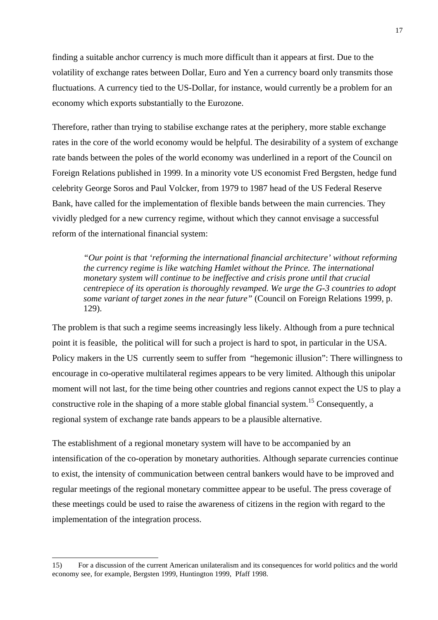finding a suitable anchor currency is much more difficult than it appears at first. Due to the volatility of exchange rates between Dollar, Euro and Yen a currency board only transmits those fluctuations. A currency tied to the US-Dollar, for instance, would currently be a problem for an economy which exports substantially to the Eurozone.

Therefore, rather than trying to stabilise exchange rates at the periphery, more stable exchange rates in the core of the world economy would be helpful. The desirability of a system of exchange rate bands between the poles of the world economy was underlined in a report of the Council on Foreign Relations published in 1999. In a minority vote US economist Fred Bergsten, hedge fund celebrity George Soros and Paul Volcker, from 1979 to 1987 head of the US Federal Reserve Bank, have called for the implementation of flexible bands between the main currencies. They vividly pledged for a new currency regime, without which they cannot envisage a successful reform of the international financial system:

*"Our point is that 'reforming the international financial architecture' without reforming the currency regime is like watching Hamlet without the Prince. The international monetary system will continue to be ineffective and crisis prone until that crucial centrepiece of its operation is thoroughly revamped. We urge the G-3 countries to adopt some variant of target zones in the near future"* (Council on Foreign Relations 1999, p. 129).

The problem is that such a regime seems increasingly less likely. Although from a pure technical point it is feasible, the political will for such a project is hard to spot, in particular in the USA. Policy makers in the US currently seem to suffer from "hegemonic illusion": There willingness to encourage in co-operative multilateral regimes appears to be very limited. Although this unipolar moment will not last, for the time being other countries and regions cannot expect the US to play a constructive role in the shaping of a more stable global financial system.<sup>15</sup> Consequently, a regional system of exchange rate bands appears to be a plausible alternative.

The establishment of a regional monetary system will have to be accompanied by an intensification of the co-operation by monetary authorities. Although separate currencies continue to exist, the intensity of communication between central bankers would have to be improved and regular meetings of the regional monetary committee appear to be useful. The press coverage of these meetings could be used to raise the awareness of citizens in the region with regard to the implementation of the integration process.

<sup>15)</sup> For a discussion of the current American unilateralism and its consequences for world politics and the world economy see, for example, Bergsten 1999, Huntington 1999, Pfaff 1998.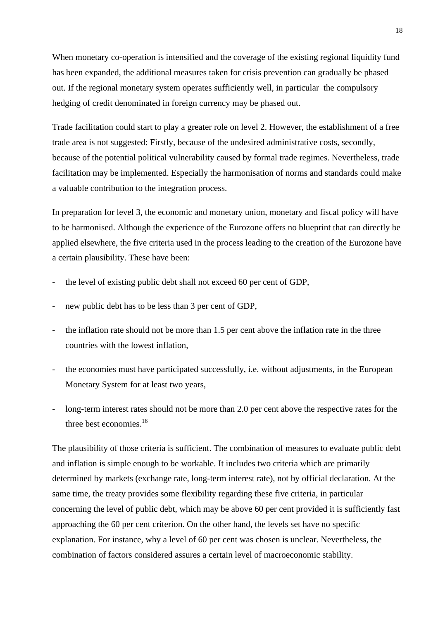When monetary co-operation is intensified and the coverage of the existing regional liquidity fund has been expanded, the additional measures taken for crisis prevention can gradually be phased out. If the regional monetary system operates sufficiently well, in particular the compulsory hedging of credit denominated in foreign currency may be phased out.

Trade facilitation could start to play a greater role on level 2. However, the establishment of a free trade area is not suggested: Firstly, because of the undesired administrative costs, secondly, because of the potential political vulnerability caused by formal trade regimes. Nevertheless, trade facilitation may be implemented. Especially the harmonisation of norms and standards could make a valuable contribution to the integration process.

In preparation for level 3, the economic and monetary union, monetary and fiscal policy will have to be harmonised. Although the experience of the Eurozone offers no blueprint that can directly be applied elsewhere, the five criteria used in the process leading to the creation of the Eurozone have a certain plausibility. These have been:

- the level of existing public debt shall not exceed 60 per cent of GDP,
- new public debt has to be less than 3 per cent of GDP,
- the inflation rate should not be more than 1.5 per cent above the inflation rate in the three countries with the lowest inflation,
- the economies must have participated successfully, i.e. without adjustments, in the European Monetary System for at least two years,
- long-term interest rates should not be more than 2.0 per cent above the respective rates for the three best economies.<sup>16</sup>

The plausibility of those criteria is sufficient. The combination of measures to evaluate public debt and inflation is simple enough to be workable. It includes two criteria which are primarily determined by markets (exchange rate, long-term interest rate), not by official declaration. At the same time, the treaty provides some flexibility regarding these five criteria, in particular concerning the level of public debt, which may be above 60 per cent provided it is sufficiently fast approaching the 60 per cent criterion. On the other hand, the levels set have no specific explanation. For instance, why a level of 60 per cent was chosen is unclear. Nevertheless, the combination of factors considered assures a certain level of macroeconomic stability.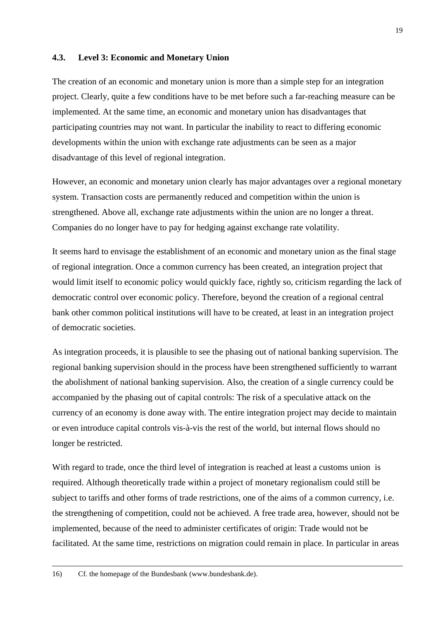# **4.3. Level 3: Economic and Monetary Union**

The creation of an economic and monetary union is more than a simple step for an integration project. Clearly, quite a few conditions have to be met before such a far-reaching measure can be implemented. At the same time, an economic and monetary union has disadvantages that participating countries may not want. In particular the inability to react to differing economic developments within the union with exchange rate adjustments can be seen as a major disadvantage of this level of regional integration.

However, an economic and monetary union clearly has major advantages over a regional monetary system. Transaction costs are permanently reduced and competition within the union is strengthened. Above all, exchange rate adjustments within the union are no longer a threat. Companies do no longer have to pay for hedging against exchange rate volatility.

It seems hard to envisage the establishment of an economic and monetary union as the final stage of regional integration. Once a common currency has been created, an integration project that would limit itself to economic policy would quickly face, rightly so, criticism regarding the lack of democratic control over economic policy. Therefore, beyond the creation of a regional central bank other common political institutions will have to be created, at least in an integration project of democratic societies.

As integration proceeds, it is plausible to see the phasing out of national banking supervision. The regional banking supervision should in the process have been strengthened sufficiently to warrant the abolishment of national banking supervision. Also, the creation of a single currency could be accompanied by the phasing out of capital controls: The risk of a speculative attack on the currency of an economy is done away with. The entire integration project may decide to maintain or even introduce capital controls vis-à-vis the rest of the world, but internal flows should no longer be restricted.

With regard to trade, once the third level of integration is reached at least a customs union is required. Although theoretically trade within a project of monetary regionalism could still be subject to tariffs and other forms of trade restrictions, one of the aims of a common currency, i.e. the strengthening of competition, could not be achieved. A free trade area, however, should not be implemented, because of the need to administer certificates of origin: Trade would not be facilitated. At the same time, restrictions on migration could remain in place. In particular in areas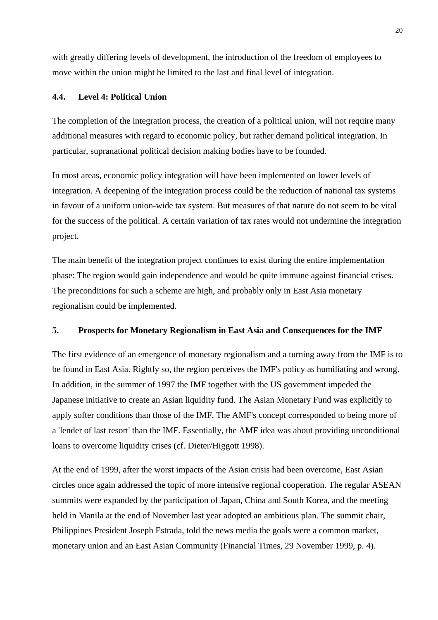with greatly differing levels of development, the introduction of the freedom of employees to move within the union might be limited to the last and final level of integration.

# **4.4. Level 4: Political Union**

The completion of the integration process, the creation of a political union, will not require many additional measures with regard to economic policy, but rather demand political integration. In particular, supranational political decision making bodies have to be founded.

In most areas, economic policy integration will have been implemented on lower levels of integration. A deepening of the integration process could be the reduction of national tax systems in favour of a uniform union-wide tax system. But measures of that nature do not seem to be vital for the success of the political. A certain variation of tax rates would not undermine the integration project.

The main benefit of the integration project continues to exist during the entire implementation phase: The region would gain independence and would be quite immune against financial crises. The preconditions for such a scheme are high, and probably only in East Asia monetary regionalism could be implemented.

# **5. Prospects for Monetary Regionalism in East Asia and Consequences for the IMF**

The first evidence of an emergence of monetary regionalism and a turning away from the IMF is to be found in East Asia. Rightly so, the region perceives the IMF's policy as humiliating and wrong. In addition, in the summer of 1997 the IMF together with the US government impeded the Japanese initiative to create an Asian liquidity fund. The Asian Monetary Fund was explicitly to apply softer conditions than those of the IMF. The AMF's concept corresponded to being more of a 'lender of last resort' than the IMF. Essentially, the AMF idea was about providing unconditional loans to overcome liquidity crises (cf. Dieter/Higgott 1998).

At the end of 1999, after the worst impacts of the Asian crisis had been overcome, East Asian circles once again addressed the topic of more intensive regional cooperation. The regular ASEAN summits were expanded by the participation of Japan, China and South Korea, and the meeting held in Manila at the end of November last year adopted an ambitious plan. The summit chair, Philippines President Joseph Estrada, told the news media the goals were a common market, monetary union and an East Asian Community (Financial Times, 29 November 1999, p. 4).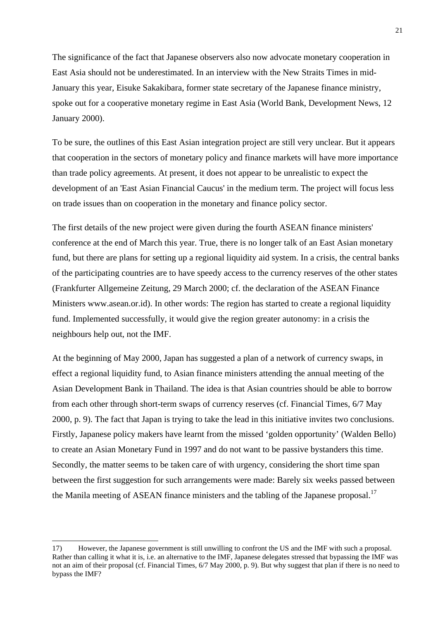The significance of the fact that Japanese observers also now advocate monetary cooperation in East Asia should not be underestimated. In an interview with the New Straits Times in mid-January this year, Eisuke Sakakibara, former state secretary of the Japanese finance ministry, spoke out for a cooperative monetary regime in East Asia (World Bank, Development News, 12 January 2000).

To be sure, the outlines of this East Asian integration project are still very unclear. But it appears that cooperation in the sectors of monetary policy and finance markets will have more importance than trade policy agreements. At present, it does not appear to be unrealistic to expect the development of an 'East Asian Financial Caucus' in the medium term. The project will focus less on trade issues than on cooperation in the monetary and finance policy sector.

The first details of the new project were given during the fourth ASEAN finance ministers' conference at the end of March this year. True, there is no longer talk of an East Asian monetary fund, but there are plans for setting up a regional liquidity aid system. In a crisis, the central banks of the participating countries are to have speedy access to the currency reserves of the other states (Frankfurter Allgemeine Zeitung, 29 March 2000; cf. the declaration of the ASEAN Finance Ministers www.asean.or.id). In other words: The region has started to create a regional liquidity fund. Implemented successfully, it would give the region greater autonomy: in a crisis the neighbours help out, not the IMF.

At the beginning of May 2000, Japan has suggested a plan of a network of currency swaps, in effect a regional liquidity fund, to Asian finance ministers attending the annual meeting of the Asian Development Bank in Thailand. The idea is that Asian countries should be able to borrow from each other through short-term swaps of currency reserves (cf. Financial Times, 6/7 May 2000, p. 9). The fact that Japan is trying to take the lead in this initiative invites two conclusions. Firstly, Japanese policy makers have learnt from the missed 'golden opportunity' (Walden Bello) to create an Asian Monetary Fund in 1997 and do not want to be passive bystanders this time. Secondly, the matter seems to be taken care of with urgency, considering the short time span between the first suggestion for such arrangements were made: Barely six weeks passed between the Manila meeting of ASEAN finance ministers and the tabling of the Japanese proposal.<sup>17</sup>

<sup>17)</sup> However, the Japanese government is still unwilling to confront the US and the IMF with such a proposal. Rather than calling it what it is, i.e. an alternative to the IMF, Japanese delegates stressed that bypassing the IMF was not an aim of their proposal (cf. Financial Times, 6/7 May 2000, p. 9). But why suggest that plan if there is no need to bypass the IMF?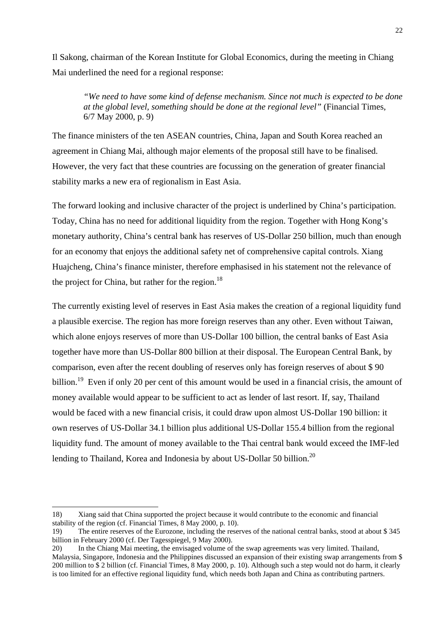Il Sakong, chairman of the Korean Institute for Global Economics, during the meeting in Chiang Mai underlined the need for a regional response:

*"We need to have some kind of defense mechanism. Since not much is expected to be done at the global level, something should be done at the regional level"* (Financial Times, 6/7 May 2000, p. 9)

The finance ministers of the ten ASEAN countries, China, Japan and South Korea reached an agreement in Chiang Mai, although major elements of the proposal still have to be finalised. However, the very fact that these countries are focussing on the generation of greater financial stability marks a new era of regionalism in East Asia.

The forward looking and inclusive character of the project is underlined by China's participation. Today, China has no need for additional liquidity from the region. Together with Hong Kong's monetary authority, China's central bank has reserves of US-Dollar 250 billion, much than enough for an economy that enjoys the additional safety net of comprehensive capital controls. Xiang Huajcheng, China's finance minister, therefore emphasised in his statement not the relevance of the project for China, but rather for the region. $^{18}$ 

The currently existing level of reserves in East Asia makes the creation of a regional liquidity fund a plausible exercise. The region has more foreign reserves than any other. Even without Taiwan, which alone enjoys reserves of more than US-Dollar 100 billion, the central banks of East Asia together have more than US-Dollar 800 billion at their disposal. The European Central Bank, by comparison, even after the recent doubling of reserves only has foreign reserves of about \$ 90 billion.<sup>19</sup> Even if only 20 per cent of this amount would be used in a financial crisis, the amount of money available would appear to be sufficient to act as lender of last resort. If, say, Thailand would be faced with a new financial crisis, it could draw upon almost US-Dollar 190 billion: it own reserves of US-Dollar 34.1 billion plus additional US-Dollar 155.4 billion from the regional liquidity fund. The amount of money available to the Thai central bank would exceed the IMF-led lending to Thailand, Korea and Indonesia by about US-Dollar 50 billion.<sup>20</sup>

<sup>18)</sup> Xiang said that China supported the project because it would contribute to the economic and financial stability of the region (cf. Financial Times, 8 May 2000, p. 10).

<sup>19)</sup> The entire reserves of the Eurozone, including the reserves of the national central banks, stood at about \$ 345 billion in February 2000 (cf. Der Tagesspiegel, 9 May 2000).

<sup>20)</sup> In the Chiang Mai meeting, the envisaged volume of the swap agreements was very limited. Thailand, Malaysia, Singapore, Indonesia and the Philippines discussed an expansion of their existing swap arrangements from \$ 200 million to \$ 2 billion (cf. Financial Times, 8 May 2000, p. 10). Although such a step would not do harm, it clearly is too limited for an effective regional liquidity fund, which needs both Japan and China as contributing partners.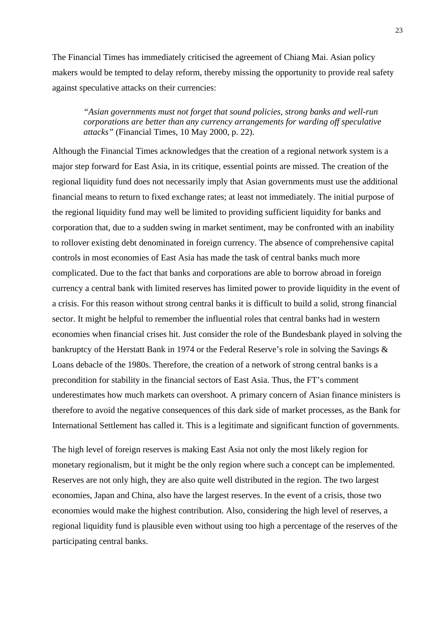The Financial Times has immediately criticised the agreement of Chiang Mai. Asian policy makers would be tempted to delay reform, thereby missing the opportunity to provide real safety against speculative attacks on their currencies:

*"Asian governments must not forget that sound policies, strong banks and well-run corporations are better than any currency arrangements for warding off speculative attacks"* (Financial Times, 10 May 2000, p. 22).

Although the Financial Times acknowledges that the creation of a regional network system is a major step forward for East Asia, in its critique, essential points are missed. The creation of the regional liquidity fund does not necessarily imply that Asian governments must use the additional financial means to return to fixed exchange rates; at least not immediately. The initial purpose of the regional liquidity fund may well be limited to providing sufficient liquidity for banks and corporation that, due to a sudden swing in market sentiment, may be confronted with an inability to rollover existing debt denominated in foreign currency. The absence of comprehensive capital controls in most economies of East Asia has made the task of central banks much more complicated. Due to the fact that banks and corporations are able to borrow abroad in foreign currency a central bank with limited reserves has limited power to provide liquidity in the event of a crisis. For this reason without strong central banks it is difficult to build a solid, strong financial sector. It might be helpful to remember the influential roles that central banks had in western economies when financial crises hit. Just consider the role of the Bundesbank played in solving the bankruptcy of the Herstatt Bank in 1974 or the Federal Reserve's role in solving the Savings & Loans debacle of the 1980s. Therefore, the creation of a network of strong central banks is a precondition for stability in the financial sectors of East Asia. Thus, the FT's comment underestimates how much markets can overshoot. A primary concern of Asian finance ministers is therefore to avoid the negative consequences of this dark side of market processes, as the Bank for International Settlement has called it. This is a legitimate and significant function of governments.

The high level of foreign reserves is making East Asia not only the most likely region for monetary regionalism, but it might be the only region where such a concept can be implemented. Reserves are not only high, they are also quite well distributed in the region. The two largest economies, Japan and China, also have the largest reserves. In the event of a crisis, those two economies would make the highest contribution. Also, considering the high level of reserves, a regional liquidity fund is plausible even without using too high a percentage of the reserves of the participating central banks.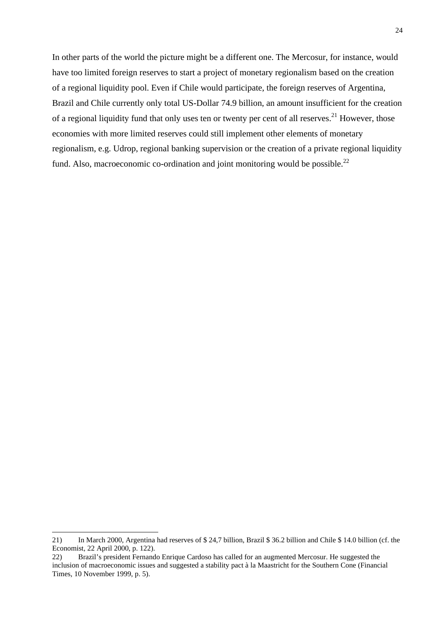In other parts of the world the picture might be a different one. The Mercosur, for instance, would have too limited foreign reserves to start a project of monetary regionalism based on the creation of a regional liquidity pool. Even if Chile would participate, the foreign reserves of Argentina, Brazil and Chile currently only total US-Dollar 74.9 billion, an amount insufficient for the creation of a regional liquidity fund that only uses ten or twenty per cent of all reserves.<sup>21</sup> However, those economies with more limited reserves could still implement other elements of monetary regionalism, e.g. Udrop, regional banking supervision or the creation of a private regional liquidity fund. Also, macroeconomic co-ordination and joint monitoring would be possible.<sup>22</sup>

<sup>21)</sup> In March 2000, Argentina had reserves of \$ 24,7 billion, Brazil \$ 36.2 billion and Chile \$ 14.0 billion (cf. the Economist, 22 April 2000, p. 122).

<sup>22)</sup> Brazil's president Fernando Enrique Cardoso has called for an augmented Mercosur. He suggested the inclusion of macroeconomic issues and suggested a stability pact à la Maastricht for the Southern Cone (Financial Times, 10 November 1999, p. 5).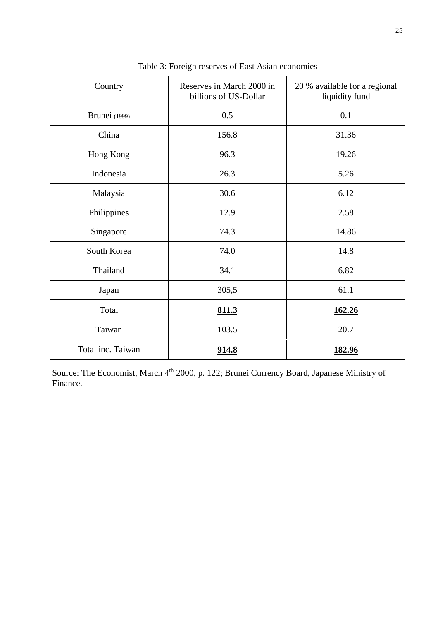| Country           | Reserves in March 2000 in<br>billions of US-Dollar | 20 % available for a regional<br>liquidity fund |
|-------------------|----------------------------------------------------|-------------------------------------------------|
| Brunei (1999)     | 0.5                                                | 0.1                                             |
| China             | 156.8                                              | 31.36                                           |
| Hong Kong         | 96.3                                               | 19.26                                           |
| Indonesia         | 26.3                                               | 5.26                                            |
| Malaysia          | 30.6                                               | 6.12                                            |
| Philippines       | 12.9                                               | 2.58                                            |
| Singapore         | 74.3                                               | 14.86                                           |
| South Korea       | 74.0                                               | 14.8                                            |
| Thailand          | 34.1                                               | 6.82                                            |
| Japan             | 305,5                                              | 61.1                                            |
| Total             | 811.3                                              | 162.26                                          |
| Taiwan            | 103.5                                              | 20.7                                            |
| Total inc. Taiwan | 914.8                                              | 182.96                                          |

Table 3: Foreign reserves of East Asian economies

Source: The Economist, March 4<sup>th</sup> 2000, p. 122; Brunei Currency Board, Japanese Ministry of Finance.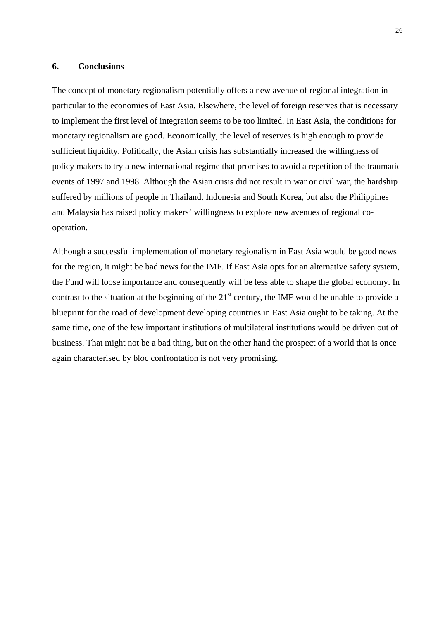#### **6. Conclusions**

The concept of monetary regionalism potentially offers a new avenue of regional integration in particular to the economies of East Asia. Elsewhere, the level of foreign reserves that is necessary to implement the first level of integration seems to be too limited. In East Asia, the conditions for monetary regionalism are good. Economically, the level of reserves is high enough to provide sufficient liquidity. Politically, the Asian crisis has substantially increased the willingness of policy makers to try a new international regime that promises to avoid a repetition of the traumatic events of 1997 and 1998. Although the Asian crisis did not result in war or civil war, the hardship suffered by millions of people in Thailand, Indonesia and South Korea, but also the Philippines and Malaysia has raised policy makers' willingness to explore new avenues of regional cooperation.

Although a successful implementation of monetary regionalism in East Asia would be good news for the region, it might be bad news for the IMF. If East Asia opts for an alternative safety system, the Fund will loose importance and consequently will be less able to shape the global economy. In contrast to the situation at the beginning of the  $21<sup>st</sup>$  century, the IMF would be unable to provide a blueprint for the road of development developing countries in East Asia ought to be taking. At the same time, one of the few important institutions of multilateral institutions would be driven out of business. That might not be a bad thing, but on the other hand the prospect of a world that is once again characterised by bloc confrontation is not very promising.